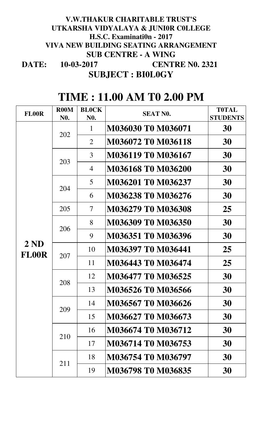#### **DATE: SUBJECT : BI0L0GY 10-03-2017 V.W.THAKUR CHARITABLE TRUST'S UTKARSHA VIDYALAYA & JUNI0R C0LLEGE H.S.C. Examinati0n - 2017 VIVA NEW BUILDING SEATING ARRANGEMENT SUB CENTRE - A WING CENTRE N0. 2321**

| <b>FL00R</b>        | <b>R00M</b><br>N <sub>0</sub> . | <b>BLOCK</b><br>N <sub>0</sub> . | <b>SEAT NO.</b>           | <b>TOTAL</b><br><b>STUDENTS</b>                                |
|---------------------|---------------------------------|----------------------------------|---------------------------|----------------------------------------------------------------|
|                     | 202                             | $\mathbf{1}$                     | M036030 T0 M036071        | 30                                                             |
|                     |                                 | $\overline{2}$                   | M036072 T0 M036118        | 30                                                             |
|                     | 203                             | $\overline{3}$                   | M036119 T0 M036167        | 30                                                             |
|                     |                                 | $\overline{4}$                   | M036168 T0 M036200        | 30                                                             |
|                     | 204                             | 5 <sup>1</sup>                   | M036201 T0 M036237        | 30                                                             |
|                     |                                 | 6                                | M036238 T0 M036276        | 30                                                             |
|                     | 205                             | $\overline{\mathcal{L}}$         | M036279 T0 M036308        | 25                                                             |
|                     | 206                             | 8                                | M036309 T0 M036350        | 30                                                             |
|                     |                                 | 9                                | M036351 T0 M036396        | 30<br>25<br>25<br>30<br>30<br>30<br>30<br>30<br>30<br>30<br>30 |
| 2ND<br><b>FL00R</b> | 207                             | 10                               | M036397 T0 M036441        |                                                                |
|                     |                                 | 11                               | M036443 T0 M036474        |                                                                |
|                     | 208                             | 12                               | M036477 T0 M036525        |                                                                |
|                     |                                 | 13                               | M036526 T0 M036566        |                                                                |
|                     | 209                             | 14                               | M036567 T0 M036626        |                                                                |
|                     |                                 | 15                               | M036627 T0 M036673        |                                                                |
|                     | 210                             | 16                               | M036674 T0 M036712        |                                                                |
|                     |                                 | 17                               | M036714 T0 M036753        |                                                                |
|                     | 211                             | 18                               | M036754 T0 M036797        |                                                                |
|                     |                                 | 19                               | <b>M036798 T0 M036835</b> |                                                                |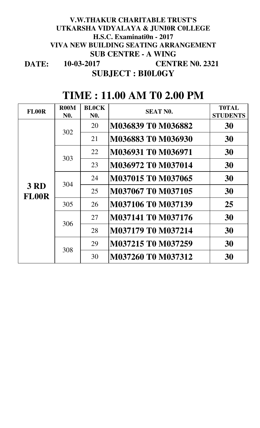#### **DATE: 10-03-2017 V.W.THAKUR CHARITABLE TRUST'S UTKARSHA VIDYALAYA & JUNI0R C0LLEGE H.S.C. Examinati0n - 2017 VIVA NEW BUILDING SEATING ARRANGEMENT SUB CENTRE - A WING CENTRE N0. 2321 SUBJECT : BI0L0GY**

| <b>FL00R</b>                | <b>R00M</b><br>N <sub>0</sub> . | <b>BLOCK</b><br><b>NO.</b> | <b>SEAT NO.</b>                                                                                                                                                  | <b>TOTAL</b><br><b>STUDENTS</b> |
|-----------------------------|---------------------------------|----------------------------|------------------------------------------------------------------------------------------------------------------------------------------------------------------|---------------------------------|
|                             |                                 | 20                         | M036839 T0 M036882                                                                                                                                               | 30                              |
|                             | 302                             | 21                         | M036883 T0 M036930                                                                                                                                               | 30                              |
|                             |                                 | 22                         | M036931 T0 M036971<br>30<br>M036972 T0 M037014<br>23<br>30<br>M037015 TO M037065<br>30<br>24<br>M037067 T0 M037105<br>30<br>25<br>M037106 T0 M037139<br>25<br>26 |                                 |
|                             | 303                             |                            |                                                                                                                                                                  |                                 |
|                             |                                 |                            |                                                                                                                                                                  |                                 |
| <b>3 RD</b><br><b>FL00R</b> | 304                             |                            |                                                                                                                                                                  |                                 |
|                             | 305                             |                            |                                                                                                                                                                  |                                 |
|                             |                                 | 27                         | M037141 T0 M037176                                                                                                                                               | 30                              |
|                             | 306                             | 28                         | M037179 T0 M037214                                                                                                                                               | 30                              |
|                             |                                 | 29                         | M037215 T0 M037259                                                                                                                                               | 30                              |
|                             | 308                             | 30                         | M037260 T0 M037312                                                                                                                                               | 30                              |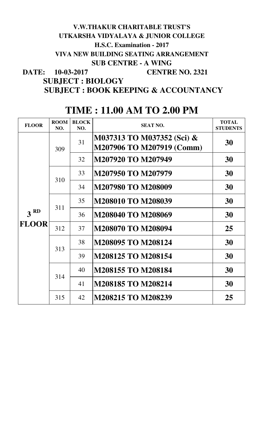| <b>FLOOR</b>    | <b>ROOM</b><br>NO. | <b>BLOCK</b><br>NO. | <b>SEAT NO.</b>                                         | <b>TOTAL</b><br><b>STUDENTS</b>                                |
|-----------------|--------------------|---------------------|---------------------------------------------------------|----------------------------------------------------------------|
|                 | 309                | 31                  | M037313 TO M037352 (Sci) &<br>M207906 TO M207919 (Comm) | 30                                                             |
|                 |                    | 32                  | M207920 TO M207949                                      | 30<br>30<br>30<br>30<br>30<br>25<br>30<br>30<br>30<br>30<br>25 |
|                 | 310                | 33                  | M207950 TO M207979                                      |                                                                |
|                 |                    | 34                  | <b>M207980 TO M208009</b>                               |                                                                |
|                 | 311                | 35                  | M208010 TO M208039                                      |                                                                |
| 3 <sup>RD</sup> |                    | 36                  | M208040 TO M208069                                      |                                                                |
| <b>FLOOR</b>    | 312                | 37                  | M208070 TO M208094                                      |                                                                |
| 313<br>314      |                    | 38                  | M208095 TO M208124                                      |                                                                |
|                 |                    | 39                  | <b>M208125 TO M208154</b>                               |                                                                |
|                 |                    | 40                  | <b>M208155 TO M208184</b>                               |                                                                |
|                 |                    | 41                  | M208185 TO M208214                                      |                                                                |
|                 | 315                | 42                  | <b>M208215 TO M208239</b>                               |                                                                |

### **DATE: 10-03-2017 V.W.THAKUR CHARITABLE TRUST'S UTKARSHA VIDYALAYA & JUNIOR COLLEGE H.S.C. Examination - 2017 VIVA NEW BUILDING SEATING ARRANGEMENT SUB CENTRE - A WING CENTRE NO. 2321**

## **SUBJECT : BOOK KEEPING & ACCOUNTANCY SUBJECT : BIOLOGY**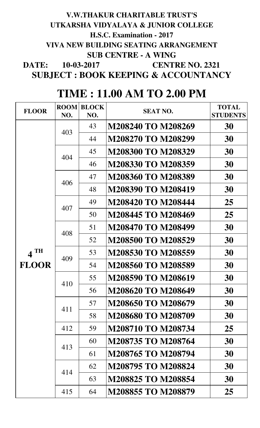## **DATE: 10-03-2017 SUBJECT : BOOK KEEPING & ACCOUNTANCY V.W.THAKUR CHARITABLE TRUST'S UTKARSHA VIDYALAYA & JUNIOR COLLEGE H.S.C. Examination - 2017 VIVA NEW BUILDING SEATING ARRANGEMENT SUB CENTRE - A WING CENTRE NO. 2321**

| <b>FLOOR</b> | <b>ROOM</b> | <b>BLOCK</b> | <b>SEAT NO.</b>           | <b>TOTAL</b>    |
|--------------|-------------|--------------|---------------------------|-----------------|
|              | NO.         | NO.          |                           | <b>STUDENTS</b> |
|              | 403         | 43           | M208240 TO M208269        | 30              |
|              |             | 44           | M208270 TO M208299        | 30              |
|              | 404         | 45           | M208300 TO M208329        | 30              |
|              |             | 46           | M208330 TO M208359        | 30              |
|              | 406         | 47           | M208360 TO M208389        | 30              |
|              |             | 48           | M208390 TO M208419        | 30              |
|              | 407         | 49           | <b>M208420 TO M208444</b> | 25              |
|              |             | 50           | M208445 TO M208469        | 25              |
|              | 408         | 51           | M208470 TO M208499        | 30              |
|              |             | 52           | M208500 TO M208529        | 30              |
| <b>TH</b>    | 409         | 53           | M208530 TO M208559        | 30              |
| <b>FLOOR</b> |             | 54           | M208560 TO M208589        | 30              |
|              | 410         | 55           | M208590 TO M208619        | 30              |
|              |             | 56           | M208620 TO M208649        | 30              |
|              | 411         | 57           | M208650 TO M208679        | 30              |
|              |             | 58           | <b>M208680 TO M208709</b> | 30              |
|              | 412         | 59           | M208710 TO M208734        | 25              |
|              | 413         | 60           | M208735 TO M208764        | 30              |
|              |             | 61           | M208765 TO M208794        | 30              |
|              | 414         | 62           | M208795 TO M208824        | 30              |
|              |             | 63           | M208825 TO M208854        | 30              |
|              | 415         | 64           | M208855 TO M208879        | 25              |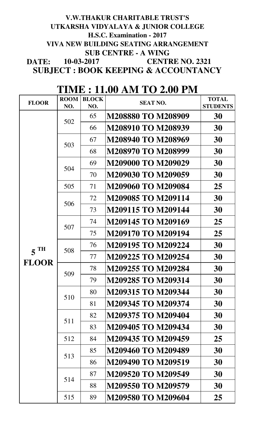### **DATE: 10-03-2017 SUBJECT : BOOK KEEPING & ACCOUNTANCY CENTRE NO. 2321 V.W.THAKUR CHARITABLE TRUST'S UTKARSHA VIDYALAYA & JUNIOR COLLEGE H.S.C. Examination - 2017 VIVA NEW BUILDING SEATING ARRANGEMENT SUB CENTRE - A WING**

| <b>FLOOR</b>      | <b>ROOM</b><br>NO. | <b>BLOCK</b><br>NO. | <b>SEAT NO.</b>           | <b>TOTAL</b><br><b>STUDENTS</b> |
|-------------------|--------------------|---------------------|---------------------------|---------------------------------|
|                   |                    | 65                  | <b>M208880 TO M208909</b> | 30                              |
|                   | 502                | 66                  | M208910 TO M208939        | 30                              |
|                   |                    | 67                  | M208940 TO M208969        | 30                              |
|                   | 503                | 68                  | M208970 TO M208999        | 30                              |
|                   | 504                | 69                  | <b>M209000 TO M209029</b> | 30                              |
|                   |                    | 70                  | M209030 TO M209059        | 30                              |
|                   | 505                | 71                  | <b>M209060 TO M209084</b> | 25                              |
|                   | 506                | 72                  | <b>M209085 TO M209114</b> | 30                              |
|                   |                    | 73                  | <b>M209115 TO M209144</b> | 30                              |
|                   | 507                | 74                  | M209145 TO M209169        | 25                              |
|                   |                    | 75                  | M209170 TO M209194        | 25                              |
| $5$ <sup>TH</sup> | 508                | 76                  | M209195 TO M209224        | 30                              |
|                   |                    | 77                  | M209225 TO M209254        | 30                              |
| <b>FLOOR</b>      | 509                | 78                  | M209255 TO M209284        | 30                              |
|                   |                    | 79                  | M209285 TO M209314        | 30                              |
|                   | 510                | 80                  | M209315 TO M209344        | 30                              |
|                   |                    | 81                  | M209345 TO M209374        | 30                              |
|                   | 511                | 82                  | M209375 TO M209404        | 30                              |
|                   |                    | 83                  | M209405 TO M209434        | 30                              |
|                   | 512                | 84                  | M209435 TO M209459        | 25                              |
|                   | 513                | 85                  | M209460 TO M209489        | 30                              |
|                   |                    | 86                  | M209490 TO M209519        | 30                              |
|                   | 514                | 87                  | M209520 TO M209549        | 30                              |
|                   |                    | 88                  | M209550 TO M209579        | 30                              |
|                   | 515                | 89                  | M209580 TO M209604        | 25                              |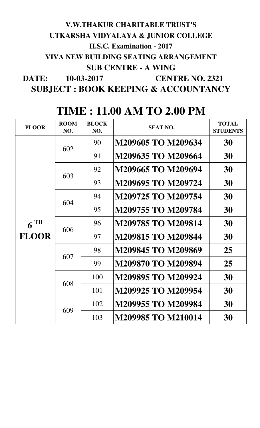## **DATE: 10-03-2017 V.W.THAKUR CHARITABLE TRUST'S UTKARSHA VIDYALAYA & JUNIOR COLLEGE H.S.C. Examination - 2017 VIVA NEW BUILDING SEATING ARRANGEMENT SUB CENTRE - A WING CENTRE NO. 2321**

**SUBJECT : BOOK KEEPING & ACCOUNTANCY**

| <b>FLOOR</b>      | <b>ROOM</b><br>NO. | <b>BLOCK</b><br>NO. | <b>SEAT NO.</b>           | <b>TOTAL</b><br><b>STUDENTS</b> |
|-------------------|--------------------|---------------------|---------------------------|---------------------------------|
|                   | 602                | 90                  | M209605 TO M209634        | 30                              |
|                   |                    | 91                  | M209635 TO M209664        | 30                              |
|                   | 603                | 92                  | M209665 TO M209694        | 30                              |
|                   |                    | 93                  | M209695 TO M209724        | 30                              |
|                   | 604                | 94                  | M209725 TO M209754        | 30                              |
|                   |                    | 95                  | M209755 TO M209784        | 30                              |
| $6$ <sup>TH</sup> |                    | 96                  | <b>M209785 TO M209814</b> | 30                              |
| <b>FLOOR</b>      | 606                | 97                  | <b>M209815 TO M209844</b> | 30                              |
|                   | 607                | 98                  | M209845 TO M209869        | 25                              |
|                   |                    | 99                  | M209870 TO M209894        | 25                              |
|                   | 608                | 100                 | M209895 TO M209924        | 30                              |
|                   |                    | 101                 | M209925 TO M209954        | 30                              |
|                   | 609                | 102                 | M209955 TO M209984        | 30                              |
|                   |                    | 103                 | <b>M209985 TO M210014</b> | 30                              |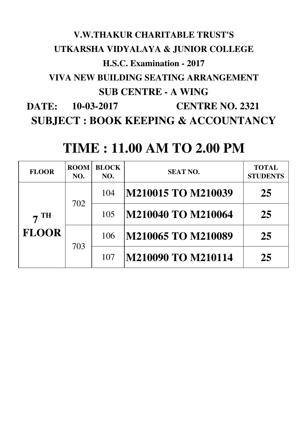## **DATE: V.W.THAKUR CHARITABLE TRUST'S UTKARSHA VIDYALAYA & JUNIOR COLLEGE H.S.C. Examination - 2017 VIVA NEW BUILDING SEATING ARRANGEMENT SUB CENTRE - A WING 10-03-2017 CENTRE NO. 2321 SUBJECT : BOOK KEEPING & ACCOUNTANCY**

| <b>FLOOR</b>              | <b>ROOM</b><br>NO. | <b>BLOCK</b><br>NO. | <b>SEAT NO.</b>    | <b>TOTAL</b><br><b>STUDENTS</b> |
|---------------------------|--------------------|---------------------|--------------------|---------------------------------|
| <b>TH</b><br><b>FLOOR</b> |                    | 104                 | M210015 TO M210039 | 25                              |
|                           | 702                | 105                 | M210040 TO M210064 | 25                              |
|                           |                    | 106                 | M210065 TO M210089 | 25                              |
|                           | 703                | 107                 | M210090 TO M210114 | 25                              |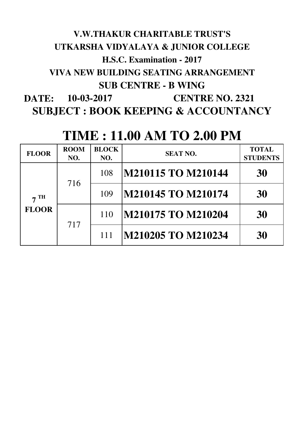## **DATE: SUBJECT : BOOK KEEPING & ACCOUNTANCY V.W.THAKUR CHARITABLE TRUST'S UTKARSHA VIDYALAYA & JUNIOR COLLEGE H.S.C. Examination - 2017 VIVA NEW BUILDING SEATING ARRANGEMENT SUB CENTRE - B WING 10-03-2017 CENTRE NO. 2321**

| <b>FLOOR</b>       | <b>ROOM</b><br>NO. | <b>BLOCK</b><br>NO. | <b>SEAT NO.</b>    | <b>TOTAL</b><br><b>STUDENTS</b> |
|--------------------|--------------------|---------------------|--------------------|---------------------------------|
| TH<br><b>FLOOR</b> |                    | 108                 | M210115 TO M210144 | 30                              |
|                    | 716                | 109                 | M210145 TO M210174 | 30                              |
|                    |                    | 110                 | M210175 TO M210204 | 30                              |
|                    | 717                | 111                 | M210205 TO M210234 | 30                              |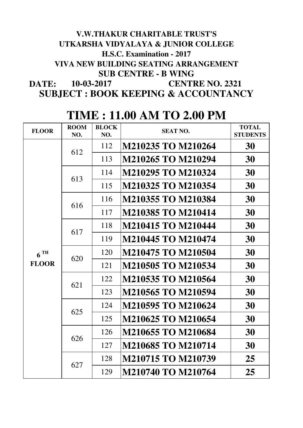### **DATE: SUBJECT : BOOK KEEPING & ACCOUNTANCY V.W.THAKUR CHARITABLE TRUST'S UTKARSHA VIDYALAYA & JUNIOR COLLEGE H.S.C. Examination - 2017 VIVA NEW BUILDING SEATING ARRANGEMENT SUB CENTRE - B WING 10-03-2017 CENTRE NO. 2321**

| <b>FLOOR</b>      | <b>ROOM</b><br>NO. | <b>BLOCK</b><br>NO. | <b>SEAT NO.</b>           | <b>TOTAL</b><br><b>STUDENTS</b>                          |
|-------------------|--------------------|---------------------|---------------------------|----------------------------------------------------------|
|                   | 612                | 112                 | M210235 TO M210264        | 30                                                       |
|                   |                    | 113                 | M210265 TO M210294        | 30                                                       |
|                   | 613                | 114                 | M210295 TO M210324        | 30                                                       |
|                   |                    | 115                 | M210325 TO M210354        | 30                                                       |
|                   | 616                | 116                 | M210355 TO M210384        | 30                                                       |
|                   |                    | 117                 | M210385 TO M210414        | 30                                                       |
|                   | 617                | 118                 | <b>M210415 TO M210444</b> | 30<br>30<br>30<br>30<br>30<br>30<br>30<br>30<br>30<br>30 |
|                   |                    | 119                 | <b>M210445 TO M210474</b> |                                                          |
| $6$ <sup>TH</sup> | 620                | 120                 | <b>M210475 TO M210504</b> |                                                          |
| <b>FLOOR</b>      |                    | 121                 | M210505 TO M210534        | 25<br>25                                                 |
|                   | 621                | 122                 | M210535 TO M210564        |                                                          |
|                   |                    | 123                 | M210565 TO M210594        |                                                          |
|                   | 625                | 124                 | M210595 TO M210624        |                                                          |
|                   |                    | 125                 | M210625 TO M210654        |                                                          |
|                   | 626                | 126                 | M210655 TO M210684        |                                                          |
|                   |                    | 127                 | <b>M210685 TO M210714</b> |                                                          |
|                   | 627                | 128                 | <b>M210715 TO M210739</b> |                                                          |
|                   |                    | 129                 | <b>M210740 TO M210764</b> |                                                          |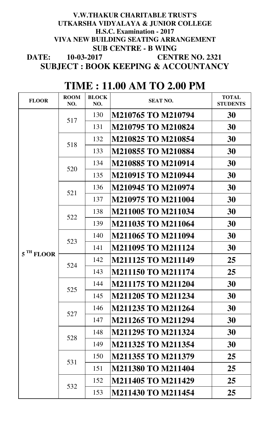#### **DATE: V.W.THAKUR CHARITABLE TRUST'S UTKARSHA VIDYALAYA & JUNIOR COLLEGE VIVA NEW BUILDING SEATING ARRANGEMENT SUB CENTRE - B WING SUBJECT : BOOK KEEPING & ACCOUNTANCY CENTRE NO. 2321 10-03-2017 H.S.C. Examination - 2017**

| <b>FLOOR</b>          | <b>ROOM</b><br>NO. | <b>BLOCK</b><br>NO. | <b>SEAT NO.</b>           | <b>TOTAL</b><br><b>STUDENTS</b>                                                        |
|-----------------------|--------------------|---------------------|---------------------------|----------------------------------------------------------------------------------------|
|                       | 517                | 130                 | M210765 TO M210794        | 30                                                                                     |
|                       |                    | 131                 | M210795 TO M210824        | 30                                                                                     |
|                       |                    | 132                 | <b>M210825 TO M210854</b> | 30                                                                                     |
|                       | 518                | 133                 | <b>M210855 TO M210884</b> | 30<br>30<br>30<br>30<br>30<br>30<br>30<br>30<br>30<br>25<br>25<br>30<br>30<br>30<br>30 |
|                       | 520                | 134                 | M210885 TO M210914        |                                                                                        |
|                       |                    | 135                 | M210915 TO M210944        |                                                                                        |
|                       | 521                | 136                 | M210945 TO M210974        |                                                                                        |
|                       |                    | 137                 | <b>M210975 TO M211004</b> |                                                                                        |
|                       | 522                | 138                 | <b>M211005 TO M211034</b> |                                                                                        |
|                       |                    | 139                 | M211035 TO M211064        |                                                                                        |
|                       | 523                | 140                 | <b>M211065 TO M211094</b> |                                                                                        |
| 5 <sup>TH</sup> FLOOR |                    | 141                 | <b>M211095 TO M211124</b> |                                                                                        |
|                       | 524                | 142                 | <b>M211125 TO M211149</b> |                                                                                        |
|                       |                    | 143                 | <b>M211150 TO M211174</b> |                                                                                        |
|                       | 525                | 144                 | M211175 TO M211204        |                                                                                        |
|                       |                    | 145                 | <b>M211205 TO M211234</b> |                                                                                        |
|                       | 527                | 146                 | <b>M211235 TO M211264</b> |                                                                                        |
|                       |                    | 147                 | M211265 TO M211294        |                                                                                        |
|                       | 528                | 148                 | <b>M211295 TO M211324</b> | 30                                                                                     |
|                       |                    | 149                 | <b>M211325 TO M211354</b> | 30                                                                                     |
|                       | 531                | 150                 | M211355 TO M211379        | 25                                                                                     |
|                       |                    | 151                 | <b>M211380 TO M211404</b> | 25                                                                                     |
|                       | 532                | 152                 | <b>M211405 TO M211429</b> | 25                                                                                     |
|                       |                    | 153                 | <b>M211430 TO M211454</b> | 25                                                                                     |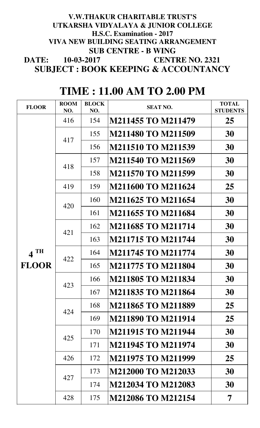#### **DATE: V.W.THAKUR CHARITABLE TRUST'S UTKARSHA VIDYALAYA & JUNIOR COLLEGE VIVA NEW BUILDING SEATING ARRANGEMENT SUB CENTRE - B WING SUBJECT : BOOK KEEPING & ACCOUNTANCY H.S.C. Examination - 2017 10-03-2017 CENTRE NO. 2321**

| <b>FLOOR</b>                                         | <b>ROOM</b><br>NO. | <b>BLOCK</b><br>NO. | <b>SEAT NO.</b>           | <b>TOTAL</b><br><b>STUDENTS</b> |
|------------------------------------------------------|--------------------|---------------------|---------------------------|---------------------------------|
|                                                      | 416                | 154                 | M211455 TO M211479        | 25                              |
|                                                      |                    | 155                 | M211480 TO M211509        | 30                              |
|                                                      | 417                | 156                 | <b>M211510 TO M211539</b> | 30                              |
|                                                      | 418                | 157                 | <b>M211540 TO M211569</b> | 30                              |
|                                                      |                    | 158                 | <b>M211570 TO M211599</b> | 30                              |
|                                                      | 419                | 159                 | <b>M211600 TO M211624</b> | 25                              |
|                                                      | 420                | 160                 | M211625 TO M211654        | 30                              |
|                                                      |                    | 161                 | <b>M211655 TO M211684</b> | 30                              |
|                                                      | 421                | 162                 | <b>M211685 TO M211714</b> | 30                              |
| <b>TH</b><br>$\overline{\mathbf{4}}$<br><b>FLOOR</b> |                    | 163                 | <b>M211715 TO M211744</b> | 30                              |
|                                                      | 422                | 164                 | <b>M211745 TO M211774</b> | 30                              |
|                                                      |                    | 165                 | <b>M211775 TO M211804</b> | 30                              |
|                                                      | 423                | 166                 | M211805 TO M211834        | 30                              |
|                                                      |                    | 167                 | <b>M211835 TO M211864</b> | 30                              |
|                                                      | 424                | 168                 | <b>M211865 TO M211889</b> | 25                              |
|                                                      |                    | 169                 | <b>M211890 TO M211914</b> | 25                              |
|                                                      | 425                | 170                 | <b>M211915 TO M211944</b> | 30                              |
|                                                      |                    | 171                 | <b>M211945 TO M211974</b> | 30                              |
|                                                      | 426                | 172                 | <b>M211975 TO M211999</b> | 25                              |
|                                                      | 427                | 173                 | <b>M212000 TO M212033</b> | 30                              |
|                                                      |                    | 174                 | M212034 TO M212083        | 30                              |
|                                                      | 428                | 175                 | <b>M212086 TO M212154</b> | 7                               |